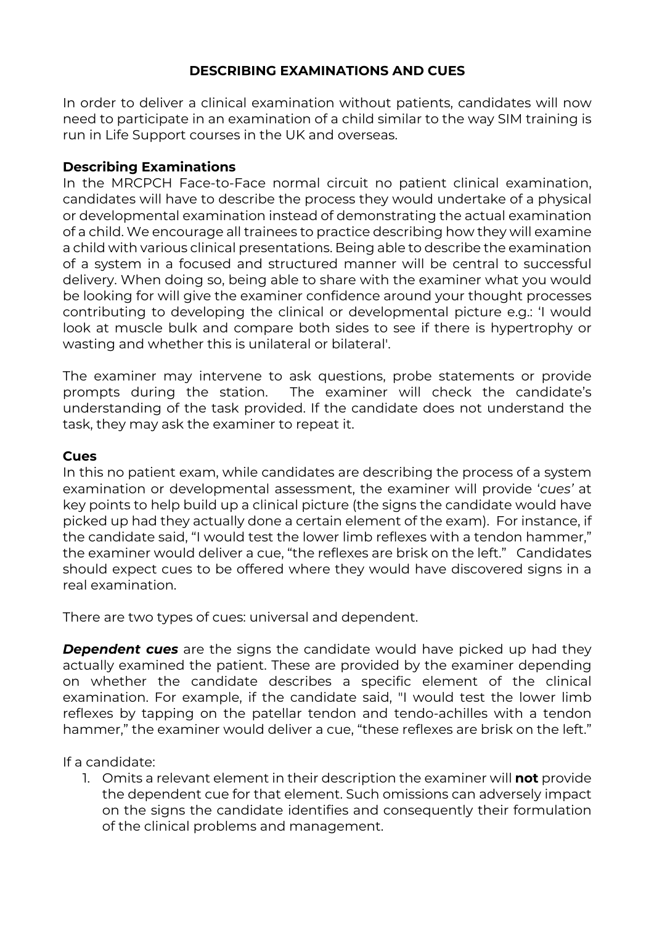# **DESCRIBING EXAMINATIONS AND CUES**

In order to deliver a clinical examination without patients, candidates will now need to participate in an examination of a child similar to the way SIM training is run in Life Support courses in the UK and overseas.

## **Describing Examinations**

In the MRCPCH Face-to-Face normal circuit no patient clinical examination, candidates will have to describe the process they would undertake of a physical or developmental examination instead of demonstrating the actual examination of a child. We encourage all trainees to practice describing how they will examine a child with various clinical presentations. Being able to describe the examination of a system in a focused and structured manner will be central to successful delivery. When doing so, being able to share with the examiner what you would be looking for will give the examiner confidence around your thought processes contributing to developing the clinical or developmental picture e.g.: 'I would look at muscle bulk and compare both sides to see if there is hypertrophy or wasting and whether this is unilateral or bilateral'.

The examiner may intervene to ask questions, probe statements or provide prompts during the station. The examiner will check the candidate's understanding of the task provided. If the candidate does not understand the task, they may ask the examiner to repeat it.

#### **Cues**

In this no patient exam, while candidates are describing the process of a system examination or developmental assessment, the examiner will provide '*cues'* at key points to help build up a clinical picture (the signs the candidate would have picked up had they actually done a certain element of the exam). For instance, if the candidate said, "I would test the lower limb reflexes with a tendon hammer," the examiner would deliver a cue, "the reflexes are brisk on the left." Candidates should expect cues to be offered where they would have discovered signs in a real examination.

There are two types of cues: universal and dependent.

**Dependent cues** are the signs the candidate would have picked up had they actually examined the patient. These are provided by the examiner depending on whether the candidate describes a specific element of the clinical examination. For example, if the candidate said, "I would test the lower limb reflexes by tapping on the patellar tendon and tendo-achilles with a tendon hammer," the examiner would deliver a cue, "these reflexes are brisk on the left."

If a candidate:

1. Omits a relevant element in their description the examiner will **not** provide the dependent cue for that element. Such omissions can adversely impact on the signs the candidate identifies and consequently their formulation of the clinical problems and management.